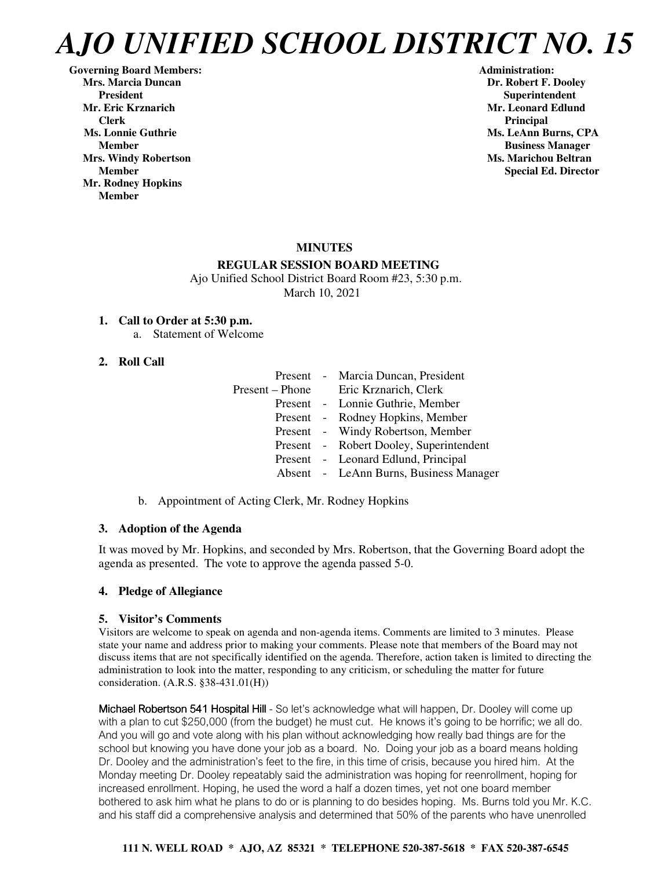**Governing Board Members: Administration: Mrs. Marcia Duncan Dr. Robert F. Dooley** President **Resident Superintendent** Superintendent<br>Mr. Eric Krznarich Superintendent Mr. Leonard Edlun  **Clerk** Principal **Principal** *Principal* **Ms. Lonnie Guthrie Ms. LeAnn Burns, CPA Ms. LeAnn Burns, CPA Mrs. Windy Robertson Ms. Marichou Beltran**  Ms. Marichou Beltran **Ms. Marichou Beltran Mr. Rodney Hopkins Member** 

**Mr. Leonard Edlund Member Business Manager Member** Special Ed. Director **Special Ed. Director** 

# **MINUTES**

# **REGULAR SESSION BOARD MEETING**

 Ajo Unified School District Board Room #23, 5:30 p.m. March 10, 2021

# **1. Call to Order at 5:30 p.m.**

a. Statement of Welcome

# **2. Roll Call**

|  | Present - Marcia Duncan, President      |
|--|-----------------------------------------|
|  | Present – Phone Eric Krznarich, Clerk   |
|  | Present - Lonnie Guthrie, Member        |
|  | Present - Rodney Hopkins, Member        |
|  | Present - Windy Robertson, Member       |
|  | Present - Robert Dooley, Superintendent |
|  | Present - Leonard Edlund, Principal     |
|  | Absent - LeAnn Burns, Business Manager  |

b. Appointment of Acting Clerk, Mr. Rodney Hopkins

# **3. Adoption of the Agenda**

It was moved by Mr. Hopkins, and seconded by Mrs. Robertson, that the Governing Board adopt the agenda as presented. The vote to approve the agenda passed 5-0.

# **4. Pledge of Allegiance**

# **5. Visitor's Comments**

Visitors are welcome to speak on agenda and non-agenda items. Comments are limited to 3 minutes. Please state your name and address prior to making your comments. Please note that members of the Board may not discuss items that are not specifically identified on the agenda. Therefore, action taken is limited to directing the administration to look into the matter, responding to any criticism, or scheduling the matter for future consideration. (A.R.S. §38-431.01(H))

Michael Robertson 541 Hospital Hill - So let's acknowledge what will happen, Dr. Dooley will come up with a plan to cut \$250,000 (from the budget) he must cut. He knows it's going to be horrific; we all do. And you will go and vote along with his plan without acknowledging how really bad things are for the school but knowing you have done your job as a board. No. Doing your job as a board means holding Dr. Dooley and the administration's feet to the fire, in this time of crisis, because you hired him. At the Monday meeting Dr. Dooley repeatably said the administration was hoping for reenrollment, hoping for increased enrollment. Hoping, he used the word a half a dozen times, yet not one board member bothered to ask him what he plans to do or is planning to do besides hoping. Ms. Burns told you Mr. K.C. and his staff did a comprehensive analysis and determined that 50% of the parents who have unenrolled

# **111 N. WELL ROAD \* AJO, AZ 85321 \* TELEPHONE 520-387-5618 \* FAX 520-387-6545**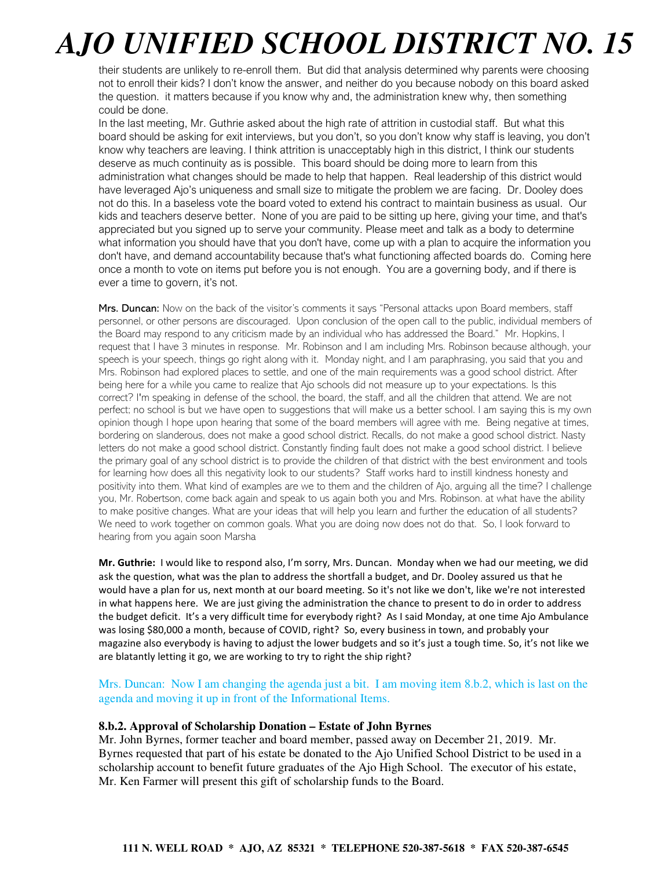their students are unlikely to re-enroll them. But did that analysis determined why parents were choosing not to enroll their kids? I don't know the answer, and neither do you because nobody on this board asked the question. it matters because if you know why and, the administration knew why, then something could be done.

In the last meeting, Mr. Guthrie asked about the high rate of attrition in custodial staff. But what this board should be asking for exit interviews, but you don't, so you don't know why staff is leaving, you don't know why teachers are leaving. I think attrition is unacceptably high in this district, I think our students deserve as much continuity as is possible. This board should be doing more to learn from this administration what changes should be made to help that happen. Real leadership of this district would have leveraged Ajo's uniqueness and small size to mitigate the problem we are facing. Dr. Dooley does not do this. In a baseless vote the board voted to extend his contract to maintain business as usual. Our kids and teachers deserve better. None of you are paid to be sitting up here, giving your time, and that's appreciated but you signed up to serve your community. Please meet and talk as a body to determine what information you should have that you don't have, come up with a plan to acquire the information you don't have, and demand accountability because that's what functioning affected boards do. Coming here once a month to vote on items put before you is not enough. You are a governing body, and if there is ever a time to govern, it's not.

Mrs. Duncan: Now on the back of the visitor's comments it says "Personal attacks upon Board members, staff personnel, or other persons are discouraged. Upon conclusion of the open call to the public, individual members of the Board may respond to any criticism made by an individual who has addressed the Board." Mr. Hopkins, I request that I have 3 minutes in response. Mr. Robinson and I am including Mrs. Robinson because although, your speech is your speech, things go right along with it. Monday night, and I am paraphrasing, you said that you and Mrs. Robinson had explored places to settle, and one of the main requirements was a good school district. After being here for a while you came to realize that Ajo schools did not measure up to your expectations. Is this correct? I'm speaking in defense of the school, the board, the staff, and all the children that attend. We are not perfect; no school is but we have open to suggestions that will make us a better school. I am saying this is my own opinion though I hope upon hearing that some of the board members will agree with me. Being negative at times, bordering on slanderous, does not make a good school district. Recalls, do not make a good school district. Nasty letters do not make a good school district. Constantly finding fault does not make a good school district. I believe the primary goal of any school district is to provide the children of that district with the best environment and tools for learning how does all this negativity look to our students? Staff works hard to instill kindness honesty and positivity into them. What kind of examples are we to them and the children of Ajo, arguing all the time? I challenge you, Mr. Robertson, come back again and speak to us again both you and Mrs. Robinson. at what have the ability to make positive changes. What are your ideas that will help you learn and further the education of all students? We need to work together on common goals. What you are doing now does not do that. So, I look forward to hearing from you again soon Marsha

**Mr. Guthrie:** I would like to respond also, I'm sorry, Mrs. Duncan. Monday when we had our meeting, we did ask the question, what was the plan to address the shortfall a budget, and Dr. Dooley assured us that he would have a plan for us, next month at our board meeting. So it's not like we don't, like we're not interested in what happens here. We are just giving the administration the chance to present to do in order to address the budget deficit. It's a very difficult time for everybody right? As I said Monday, at one time Ajo Ambulance was losing \$80,000 a month, because of COVID, right? So, every business in town, and probably your magazine also everybody is having to adjust the lower budgets and so it's just a tough time. So, it's not like we are blatantly letting it go, we are working to try to right the ship right?

Mrs. Duncan: Now I am changing the agenda just a bit. I am moving item 8.b.2, which is last on the agenda and moving it up in front of the Informational Items.

#### **8.b.2. Approval of Scholarship Donation – Estate of John Byrnes**

Mr. John Byrnes, former teacher and board member, passed away on December 21, 2019. Mr. Byrnes requested that part of his estate be donated to the Ajo Unified School District to be used in a scholarship account to benefit future graduates of the Ajo High School. The executor of his estate, Mr. Ken Farmer will present this gift of scholarship funds to the Board.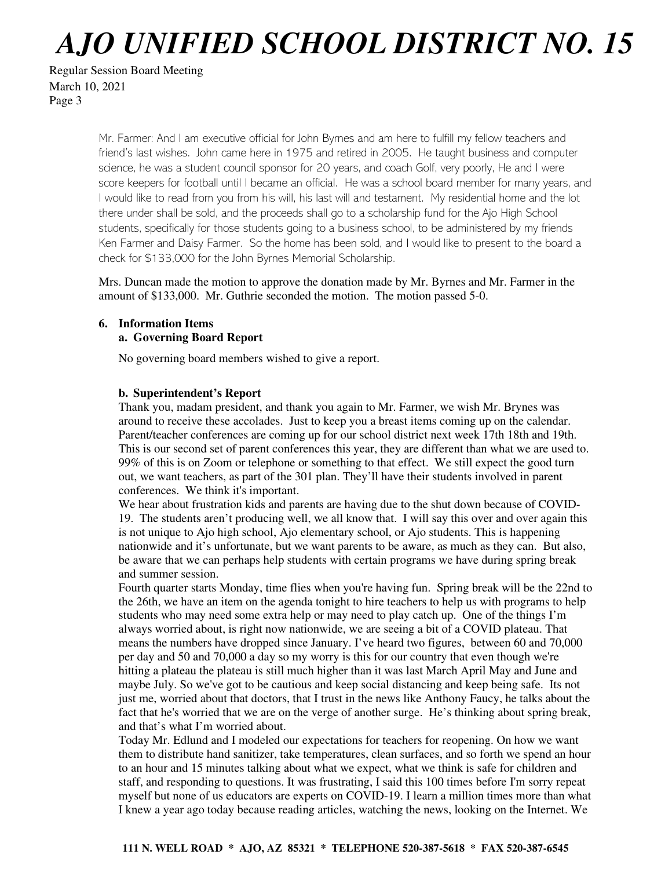Regular Session Board Meeting March 10, 2021 Page 3

> Mr. Farmer: And I am executive official for John Byrnes and am here to fulfill my fellow teachers and friend's last wishes. John came here in 1975 and retired in 2005. He taught business and computer science, he was a student council sponsor for 20 years, and coach Golf, very poorly, He and I were score keepers for football until I became an official. He was a school board member for many years, and I would like to read from you from his will, his last will and testament. My residential home and the lot there under shall be sold, and the proceeds shall go to a scholarship fund for the Ajo High School students, specifically for those students going to a business school, to be administered by my friends Ken Farmer and Daisy Farmer. So the home has been sold, and I would like to present to the board a check for \$133,000 for the John Byrnes Memorial Scholarship.

Mrs. Duncan made the motion to approve the donation made by Mr. Byrnes and Mr. Farmer in the amount of \$133,000. Mr. Guthrie seconded the motion. The motion passed 5-0.

# **6. Information Items**

## **a. Governing Board Report**

No governing board members wished to give a report.

#### **b. Superintendent's Report**

Thank you, madam president, and thank you again to Mr. Farmer, we wish Mr. Brynes was around to receive these accolades. Just to keep you a breast items coming up on the calendar. Parent/teacher conferences are coming up for our school district next week 17th 18th and 19th. This is our second set of parent conferences this year, they are different than what we are used to. 99% of this is on Zoom or telephone or something to that effect. We still expect the good turn out, we want teachers, as part of the 301 plan. They'll have their students involved in parent conferences. We think it's important.

We hear about frustration kids and parents are having due to the shut down because of COVID-19. The students aren't producing well, we all know that. I will say this over and over again this is not unique to Ajo high school, Ajo elementary school, or Ajo students. This is happening nationwide and it's unfortunate, but we want parents to be aware, as much as they can. But also, be aware that we can perhaps help students with certain programs we have during spring break and summer session.

Fourth quarter starts Monday, time flies when you're having fun. Spring break will be the 22nd to the 26th, we have an item on the agenda tonight to hire teachers to help us with programs to help students who may need some extra help or may need to play catch up. One of the things I'm always worried about, is right now nationwide, we are seeing a bit of a COVID plateau. That means the numbers have dropped since January. I've heard two figures, between 60 and 70,000 per day and 50 and 70,000 a day so my worry is this for our country that even though we're hitting a plateau the plateau is still much higher than it was last March April May and June and maybe July. So we've got to be cautious and keep social distancing and keep being safe. Its not just me, worried about that doctors, that I trust in the news like Anthony Faucy, he talks about the fact that he's worried that we are on the verge of another surge. He's thinking about spring break, and that's what I'm worried about.

Today Mr. Edlund and I modeled our expectations for teachers for reopening. On how we want them to distribute hand sanitizer, take temperatures, clean surfaces, and so forth we spend an hour to an hour and 15 minutes talking about what we expect, what we think is safe for children and staff, and responding to questions. It was frustrating, I said this 100 times before I'm sorry repeat myself but none of us educators are experts on COVID-19. I learn a million times more than what I knew a year ago today because reading articles, watching the news, looking on the Internet. We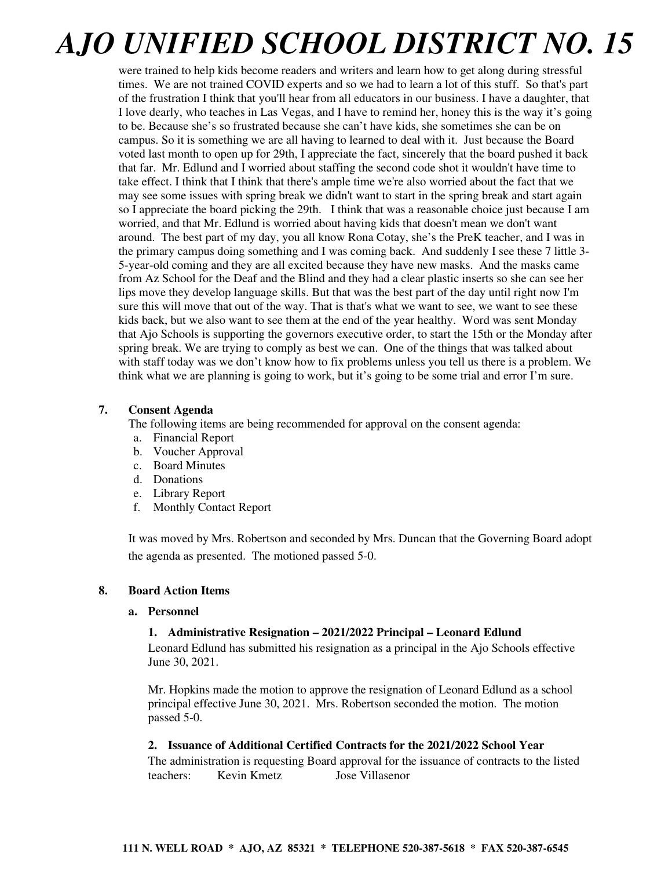were trained to help kids become readers and writers and learn how to get along during stressful times. We are not trained COVID experts and so we had to learn a lot of this stuff. So that's part of the frustration I think that you'll hear from all educators in our business. I have a daughter, that I love dearly, who teaches in Las Vegas, and I have to remind her, honey this is the way it's going to be. Because she's so frustrated because she can't have kids, she sometimes she can be on campus. So it is something we are all having to learned to deal with it. Just because the Board voted last month to open up for 29th, I appreciate the fact, sincerely that the board pushed it back that far. Mr. Edlund and I worried about staffing the second code shot it wouldn't have time to take effect. I think that I think that there's ample time we're also worried about the fact that we may see some issues with spring break we didn't want to start in the spring break and start again so I appreciate the board picking the 29th. I think that was a reasonable choice just because I am worried, and that Mr. Edlund is worried about having kids that doesn't mean we don't want around. The best part of my day, you all know Rona Cotay, she's the PreK teacher, and I was in the primary campus doing something and I was coming back. And suddenly I see these 7 little 3- 5-year-old coming and they are all excited because they have new masks. And the masks came from Az School for the Deaf and the Blind and they had a clear plastic inserts so she can see her lips move they develop language skills. But that was the best part of the day until right now I'm sure this will move that out of the way. That is that's what we want to see, we want to see these kids back, but we also want to see them at the end of the year healthy. Word was sent Monday that Ajo Schools is supporting the governors executive order, to start the 15th or the Monday after spring break. We are trying to comply as best we can. One of the things that was talked about with staff today was we don't know how to fix problems unless you tell us there is a problem. We think what we are planning is going to work, but it's going to be some trial and error I'm sure.

# **7. Consent Agenda**

The following items are being recommended for approval on the consent agenda:

- a. Financial Report
- b. Voucher Approval
- c. Board Minutes
- d. Donations
- e. Library Report
- f. Monthly Contact Report

It was moved by Mrs. Robertson and seconded by Mrs. Duncan that the Governing Board adopt the agenda as presented. The motioned passed 5-0.

# **8. Board Action Items**

#### **a. Personnel**

# **1. Administrative Resignation – 2021/2022 Principal – Leonard Edlund**

Leonard Edlund has submitted his resignation as a principal in the Ajo Schools effective June 30, 2021.

Mr. Hopkins made the motion to approve the resignation of Leonard Edlund as a school principal effective June 30, 2021. Mrs. Robertson seconded the motion. The motion passed 5-0.

# **2. Issuance of Additional Certified Contracts for the 2021/2022 School Year**

The administration is requesting Board approval for the issuance of contracts to the listed teachers: Kevin Kmetz Jose Villasenor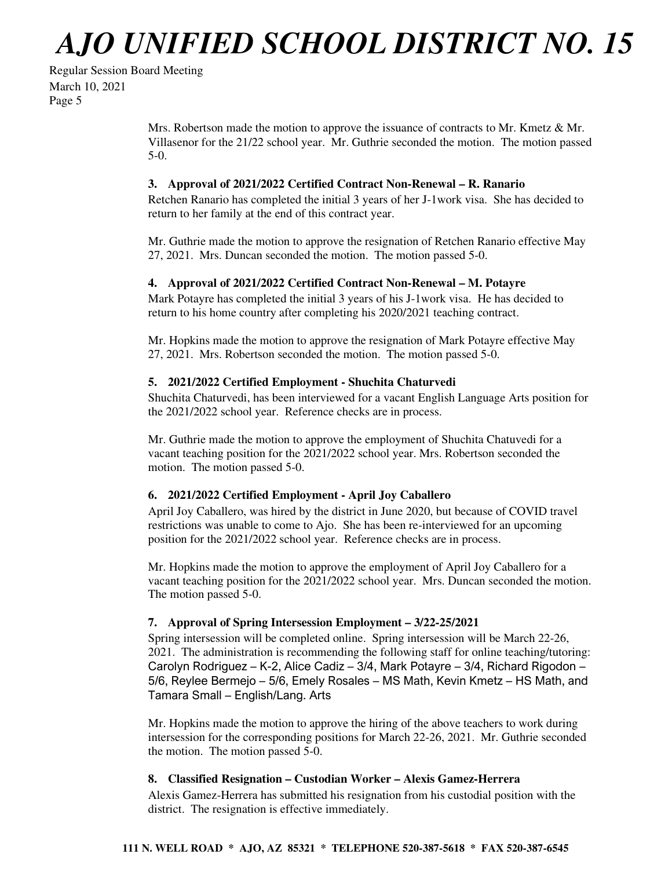```
Regular Session Board Meeting 
March 10, 2021 
Page 5
```
Mrs. Robertson made the motion to approve the issuance of contracts to Mr. Kmetz & Mr. Villasenor for the 21/22 school year. Mr. Guthrie seconded the motion. The motion passed 5-0.

# **3. Approval of 2021/2022 Certified Contract Non-Renewal – R. Ranario**

Retchen Ranario has completed the initial 3 years of her J-1work visa. She has decided to return to her family at the end of this contract year.

Mr. Guthrie made the motion to approve the resignation of Retchen Ranario effective May 27, 2021. Mrs. Duncan seconded the motion. The motion passed 5-0.

## **4. Approval of 2021/2022 Certified Contract Non-Renewal – M. Potayre**

Mark Potayre has completed the initial 3 years of his J-1work visa. He has decided to return to his home country after completing his 2020/2021 teaching contract.

Mr. Hopkins made the motion to approve the resignation of Mark Potayre effective May 27, 2021. Mrs. Robertson seconded the motion. The motion passed 5-0.

## **5. 2021/2022 Certified Employment - Shuchita Chaturvedi**

Shuchita Chaturvedi, has been interviewed for a vacant English Language Arts position for the 2021/2022 school year. Reference checks are in process.

Mr. Guthrie made the motion to approve the employment of Shuchita Chatuvedi for a vacant teaching position for the 2021/2022 school year. Mrs. Robertson seconded the motion. The motion passed 5-0.

# **6. 2021/2022 Certified Employment - April Joy Caballero**

April Joy Caballero, was hired by the district in June 2020, but because of COVID travel restrictions was unable to come to Ajo. She has been re-interviewed for an upcoming position for the 2021/2022 school year. Reference checks are in process.

Mr. Hopkins made the motion to approve the employment of April Joy Caballero for a vacant teaching position for the 2021/2022 school year. Mrs. Duncan seconded the motion. The motion passed 5-0.

# **7. Approval of Spring Intersession Employment – 3/22-25/2021**

Spring intersession will be completed online. Spring intersession will be March 22-26, 2021. The administration is recommending the following staff for online teaching/tutoring: Carolyn Rodriguez – K-2, Alice Cadiz – 3/4, Mark Potayre – 3/4, Richard Rigodon – 5/6, Reylee Bermejo – 5/6, Emely Rosales – MS Math, Kevin Kmetz – HS Math, and Tamara Small – English/Lang. Arts

Mr. Hopkins made the motion to approve the hiring of the above teachers to work during intersession for the corresponding positions for March 22-26, 2021. Mr. Guthrie seconded the motion. The motion passed 5-0.

# **8. Classified Resignation – Custodian Worker – Alexis Gamez-Herrera**

Alexis Gamez-Herrera has submitted his resignation from his custodial position with the district. The resignation is effective immediately.